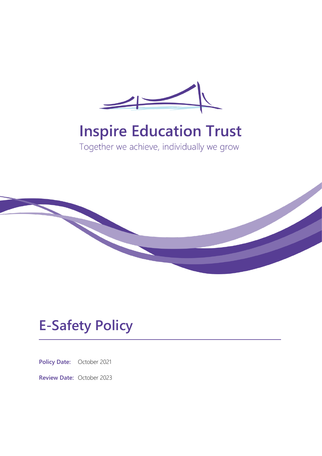

# **Inspire Education Trust**

Together we achieve, individually we grow



## **E-Safety Policy**

**Policy Date:** October 2021

**Review Date:** October 2023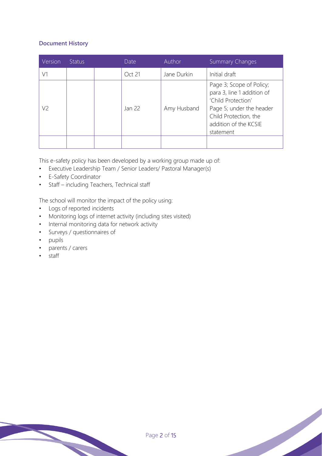## **Document History**

| Version | Status | Date   | Author      | Summary Changes                                                                                                                                                         |
|---------|--------|--------|-------------|-------------------------------------------------------------------------------------------------------------------------------------------------------------------------|
| V1      |        | Oct 21 | Jane Durkin | Initial draft                                                                                                                                                           |
| V2      |        | Jan 22 | Amy Husband | Page 3; Scope of Policy;<br>para 3, line 1 addition of<br>'Child Protection'<br>Page 5; under the header<br>Child Protection, the<br>addition of the KCSIE<br>statement |
|         |        |        |             |                                                                                                                                                                         |

This e-safety policy has been developed by a working group made up of:

- Executive Leadership Team / Senior Leaders/ Pastoral Manager(s)
- E-Safety Coordinator
- Staff including Teachers, Technical staff

The school will monitor the impact of the policy using:

- Logs of reported incidents
- Monitoring logs of internet activity (including sites visited)
- Internal monitoring data for network activity
- Surveys / questionnaires of
- pupils
- parents / carers
- staff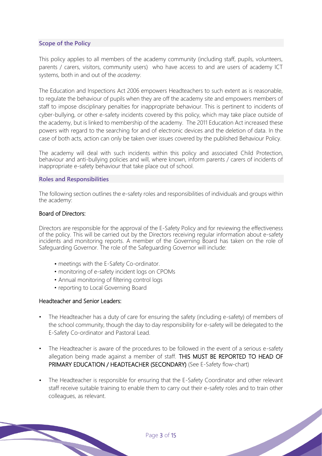## **Scope of the Policy**

This policy applies to all members of the academy community (including staff, pupils, volunteers, parents / carers, visitors, community users) who have access to and are users of academy ICT systems, both in and out of the *academy*.

The Education and Inspections Act 2006 empowers Headteachers to such extent as is reasonable, to regulate the behaviour of pupils when they are off the academy site and empowers members of staff to impose disciplinary penalties for inappropriate behaviour. This is pertinent to incidents of cyber-bullying, or other e-safety incidents covered by this policy, which may take place outside of the academy, but is linked to membership of the academy. The 2011 Education Act increased these powers with regard to the searching for and of electronic devices and the deletion of data. In the case of both acts, action can only be taken over issues covered by the published Behaviour Policy.

The academy will deal with such incidents within this policy and associated Child Protection, behaviour and anti-bullying policies and will, where known, inform parents / carers of incidents of inappropriate e-safety behaviour that take place out of school.

#### **Roles and Responsibilities**

The following section outlines the e-safety roles and responsibilities of individuals and groups within the academy:

#### Board of Directors:

Directors are responsible for the approval of the E-Safety Policy and for reviewing the effectiveness of the policy. This will be carried out by the Directors receiving regular information about e-safety incidents and monitoring reports. A member of the Governing Board has taken on the role of Safeguarding Governor. The role of the Safeguarding Governor will include:

- *•* meetings with the E-Safety Co-ordinator.
- monitoring of e-safety incident logs on CPOMs
- Annual monitoring of filtering control logs
- reporting to Local Governing Board

#### Headteacher and Senior Leaders:

- The Headteacher has a duty of care for ensuring the safety (including e-safety) of members of the school community, though the day to day responsibility for e-safety will be delegated to the E-Safety Co-ordinator and Pastoral Lead.
- The Headteacher is aware of the procedures to be followed in the event of a serious e-safety allegation being made against a member of staff. THIS MUST BE REPORTED TO HEAD OF PRIMARY EDUCATION / HEADTEACHER (SECONDARY) (See E-Safety flow-chart)
- *•* The Headteacher is responsible for ensuring that the E-Safety Coordinator and other relevant staff receive suitable training to enable them to carry out their e-safety roles and to train other colleagues, as relevant.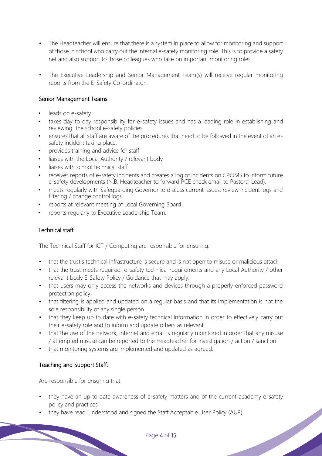- The Headteacher will ensure that there is a system in place to allow for monitoring and support of those in school who carry out the internal e-safety monitoring role. This is to provide a safety net and also support to those colleagues who take on important monitoring roles.
- The Executive Leadership and Senior Management Team(s) will receive regular monitoring reports from the E-Safety Co-ordinator.

## Senior Management Teams:

- leads on e-safety
- takes day to day responsibility for e-safety issues and has a leading role in establishing and reviewing the school e-safety policies.
- ensures that all staff are aware of the procedures that need to be followed in the event of an esafety incident taking place.
- provides training and advice for staff
- liaises with the Local Authority / relevant body
- liaises with school technical staff
- receives reports of e-safety incidents and creates a log of incidents on CPOMS to inform future e-safety developments (N.B. Headteacher to forward PCE check email to Pastoral Lead),
- meets regularly with Safeguarding Governor to discuss current issues, review incident logs and filtering / change control logs
- reports at relevant meeting of Local Governing Board
- reports regularly to Executive Leadership Team.

## Technical staff:

The Technical Staff for ICT / Computing are responsible for ensuring:

- that the trust's technical infrastructure is secure and is not open to misuse or malicious attack
- that the trust meets required e-safety technical requirements and any Local Authority / other relevant body E-Safety Policy / Guidance that may apply.
- that users may only access the networks and devices through a properly enforced password protection policy.
- that filtering is applied and updated on a regular basis and that its implementation is not the sole responsibility of any single person
- that they keep up to date with e-safety technical information in order to effectively carry out their e-safety role and to inform and update others as relevant
- that the use of the network, internet and email is regularly monitored in order that any misuse / attempted misuse can be reported to the Headteacher for investigation / action / sanction
- that monitoring systems are implemented and updated as agreed.

## Teaching and Support Staff:

Are responsible for ensuring that:

- they have an up to date awareness of e-safety matters and of the current academy e-safety policy and practices
- they have read, understood and signed the Staff Acceptable User Policy (AUP)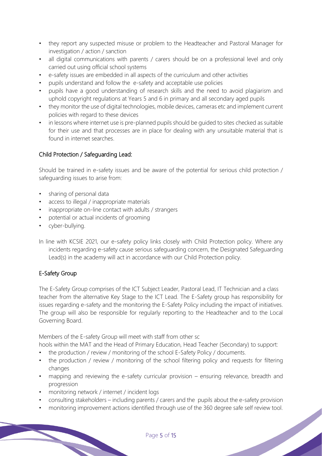- they report any suspected misuse or problem to the Headteacher and Pastoral Manager for investigation / action / sanction
- all digital communications with parents / carers should be on a professional level and only carried out using official school systems
- e-safety issues are embedded in all aspects of the curriculum and other activities
- pupils understand and follow the e-safety and acceptable use policies
- pupils have a good understanding of research skills and the need to avoid plagiarism and uphold copyright regulations at Years 5 and 6 in primary and all secondary aged pupils
- they monitor the use of digital technologies, mobile devices, cameras etc and implement current policies with regard to these devices
- in lessons where internet use is pre-planned pupils should be quided to sites checked as suitable for their use and that processes are in place for dealing with any unsuitable material that is found in internet searches.

## Child Protection / Safeguarding Lead:

Should be trained in e-safety issues and be aware of the potential for serious child protection / safeguarding issues to arise from:

- sharing of personal data
- access to illegal / inappropriate materials
- inappropriate on-line contact with adults / strangers
- potential or actual incidents of grooming
- cyber-bullying.
- In line with KCSIE 2021, our e-safety policy links closely with Child Protection policy. Where any incidents regarding e-safety cause serious safeguarding concern, the Designated Safeguarding Lead(s) in the academy will act in accordance with our Child Protection policy.

## E-Safety Group

The E-Safety Group comprises of the ICT Subject Leader, Pastoral Lead, IT Technician and a class teacher from the alternative Key Stage to the ICT Lead. The E-Safety group has responsibility for issues regarding e-safety and the monitoring the E-Safety Policy including the impact of initiatives. The group will also be responsible for regularly reporting to the Headteacher and to the Local Governing Board.

Members of the E-safety Group will meet with staff from other sc

hools within the MAT and the Head of Primary Education, Head Teacher (Secondary) to support:

- the production / review / monitoring of the school E-Safety Policy / documents.
- the production / review / monitoring of the school filtering policy and requests for filtering changes
- mapping and reviewing the e-safety curricular provision ensuring relevance, breadth and progression
- monitoring network / internet / incident logs
- consulting stakeholders including parents / carers and the pupils about the e-safety provision
- monitoring improvement actions identified through use of the 360 degree safe self review tool.<br>
Page 5 of 15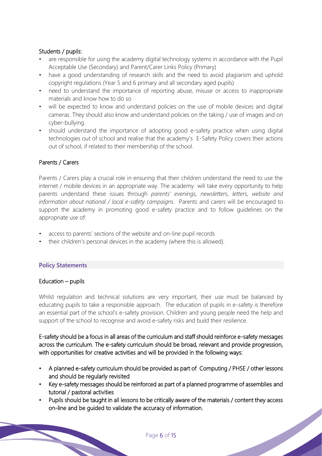## Students / pupils:

- are responsible for using the academy digital technology systems in accordance with the Pupil Acceptable Use (Secondary) and Parent/Carer Links Policy (Primary)
- have a good understanding of research skills and the need to avoid plagiarism and uphold copyright regulations (Year 5 and 6 primary and all secondary aged pupils)
- need to understand the importance of reporting abuse, misuse or access to inappropriate materials and know how to do so
- will be expected to know and understand policies on the use of mobile devices and digital cameras. They should also know and understand policies on the taking / use of images and on cyber-bullying.
- should understand the importance of adopting good e-safety practice when using digital technologies out of school and realise that the academy's E-Safety Policy covers their actions out of school, if related to their membership of the school.

## Parents / Carers

Parents / Carers play a crucial role in ensuring that their children understand the need to use the internet / mobile devices in an appropriate way. The academy will take every opportunity to help parents understand these issues through *parents' evenings, newsletters, letters, website and information about national / local e-safety campaigns.* Parents and carers will be encouraged to support the academy in promoting good e-safety practice and to follow guidelines on the appropriate use of:

- access to parents' sections of the website and on-line pupil records
- their children's personal devices in the academy (where this is allowed).

#### **Policy Statements**

## Education – pupils

Whilst regulation and technical solutions are very important, their use must be balanced by educating pupils to take a responsible approach. The education of pupils in e-safety is therefore an essential part of the school's e-safety provision. Children and young people need the help and support of the school to recognise and avoid e-safety risks and build their resilience.

E-safety should be a focus in all areas of the curriculum and staff should reinforce e-safety messages across the curriculum. The e-safety curriculum should be broad, relevant and provide progression, with opportunities for creative activities and will be provided in the following ways:

- A planned e-safety curriculum should be provided as part of Computing / PHSE / other lessons and should be regularly revisited
- Key e-safety messages should be reinforced as part of a planned programme of assemblies and tutorial / pastoral activities
- Pupils should be taught in all lessons to be critically aware of the materials / content they access on-line and be guided to validate the accuracy of information.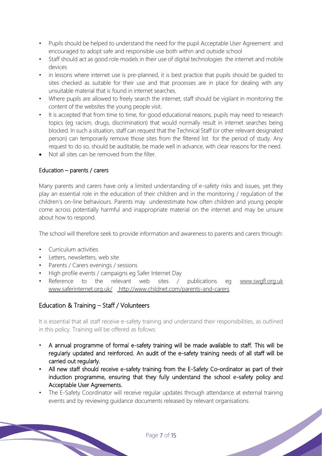- Pupils should be helped to understand the need for the pupil Acceptable User Agreement and encouraged to adopt safe and responsible use both within and outside school
- Staff should act as good role models in their use of digital technologies the internet and mobile devices
- in lessons where internet use is pre-planned, it is best practice that pupils should be quided to sites checked as suitable for their use and that processes are in place for dealing with any unsuitable material that is found in internet searches.
- Where pupils are allowed to freely search the internet, staff should be vigilant in monitoring the content of the websites the young people visit.
- It is accepted that from time to time, for good educational reasons, pupils may need to research topics (eg racism, drugs, discrimination) that would normally result in internet searches being blocked. In such a situation, staff can request that the Technical Staff (or other relevant designated person) can temporarily remove those sites from the filtered list for the period of study. Any request to do so, should be auditable, be made well in advance, with clear reasons for the need.
- Not all sites can be removed from the filter

## Education – parents / carers

Many parents and carers have only a limited understanding of e-safety risks and issues, yet they play an essential role in the education of their children and in the monitoring / regulation of the children's on-line behaviours. Parents may underestimate how often children and young people come across potentially harmful and inappropriate material on the internet and may be unsure about how to respond.

The school will therefore seek to provide information and awareness to parents and carers through:

- Curriculum activities
- Letters, newsletters, web site
- Parents / Carers evenings / sessions
- High profile events / campaigns eg Safer Internet Day
- Reference to the relevant web sites / publications eg www.swgfl.org.uk www.saferinternet.org.uk/ http://www.childnet.com/parents-and-carers

## Education & Training – Staff / Volunteers

It is essential that all staff receive e-safety training and understand their responsibilities, as outlined in this policy. Training will be offered as follows:

- A annual programme of formal e-safety training will be made available to staff. This will be regularly updated and reinforced. An audit of the e-safety training needs of all staff will be carried out regularly.
- All new staff should receive e-safety training from the E-Safety Co-ordinator as part of their induction programme, ensuring that they fully understand the school e-safety policy and Acceptable User Agreements.
- The E-Safety Coordinator will receive regular updates through attendance at external training events and by reviewing guidance documents released by relevant organisations.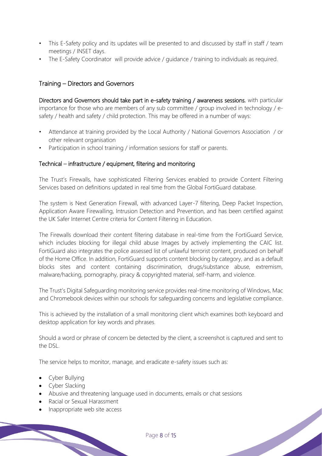- This E-Safety policy and its updates will be presented to and discussed by staff in staff / team meetings / INSET days.
- The E-Safety Coordinator will provide advice / guidance / training to individuals as required.

## Training – Directors and Governors

Directors and Governors should take part in e-safety training / awareness sessions, with particular importance for those who are members of any sub committee / group involved in technology / esafety / health and safety / child protection. This may be offered in a number of ways:

- Attendance at training provided by the Local Authority / National Governors Association / or other relevant organisation
- Participation in school training / information sessions for staff or parents.

## Technical – infrastructure / equipment, filtering and monitoring

The Trust's Firewalls, have sophisticated Filtering Services enabled to provide Content Filtering Services based on definitions updated in real time from the Global FortiGuard database.

The system is Next Generation Firewall, with advanced Layer-7 filtering, Deep Packet Inspection, Application Aware Firewalling, Intrusion Detection and Prevention, and has been certified against the UK Safer Internet Centre criteria for Content Filtering in Education.

The Firewalls download their content filtering database in real-time from the FortiGuard Service, which includes blocking for illegal child abuse Images by actively implementing the CAIC list. FortiGuard also integrates the police assessed list of unlawful terrorist content, produced on behalf of the Home Office. In addition, FortiGuard supports content blocking by category, and as a default blocks sites and content containing discrimination, drugs/substance abuse, extremism, malware/hacking, pornography, piracy & copyrighted material, self-harm, and violence.

The Trust's Digital Safeguarding monitoring service provides real-time monitoring of Windows, Mac and Chromebook devices within our schools for safeguarding concerns and legislative compliance.

This is achieved by the installation of a small monitoring client which examines both keyboard and desktop application for key words and phrases.

Should a word or phrase of concern be detected by the client, a screenshot is captured and sent to the DSL.

The service helps to monitor, manage, and eradicate e-safety issues such as:

- Cyber Bullying
- Cyber Slacking
- Abusive and threatening language used in documents, emails or chat sessions
- Racial or Sexual Harassment
- Inappropriate web site access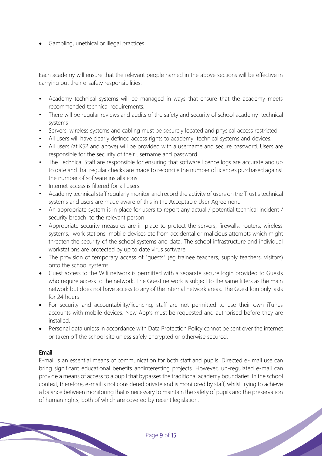• Gambling, unethical or illegal practices.

Each academy will ensure that the relevant people named in the above sections will be effective in carrying out their e-safety responsibilities:

- Academy technical systems will be managed in ways that ensure that the academy meets recommended technical requirements.
- There will be regular reviews and audits of the safety and security of school academy technical systems
- Servers, wireless systems and cabling must be securely located and physical access restricted
- All users will have clearly defined access rights to academy technical systems and devices.
- All users (at KS2 and above) will be provided with a username and secure password. Users are responsible for the security of their username and password
- The Technical Staff are responsible for ensuring that software licence logs are accurate and up to date and that regular checks are made to reconcile the number of licences purchased against the number of software installations
- *•* Internet access is filtered for all users.
- Academy technical staff regularly monitor and record the activity of users on the Trust's technical systems and users are made aware of this in the Acceptable User Agreement.
- An appropriate system is in place for users to report any actual / potential technical incident / security breach to the relevant person.
- Appropriate security measures are in place to protect the servers, firewalls, routers, wireless systems, work stations, mobile devices etc from accidental or malicious attempts which might threaten the security of the school systems and data. The school infrastructure and individual workstations are protected by up to date virus software.
- The provision of temporary access of "quests" (eq trainee teachers, supply teachers, visitors) onto the school systems.
- Guest access to the Wifi network is permitted with a separate secure login provided to Guests who require access to the network. The Guest network is subject to the same filters as the main network but does not have access to any of the internal network areas. The Guest loin only lasts for 24 hours
- For security and accountability/licencing, staff are not permitted to use their own iTunes accounts with mobile devices. New App's must be requested and authorised before they are installed.
- Personal data unless in accordance with Data Protection Policy cannot be sent over the internet or taken off the school site unless safely encrypted or otherwise secured.

## Email

E-mail is an essential means of communication for both staff and pupils. Directed e- mail use can bring significant educational benefits and
interesting projects. However, un-regulated e-mail can provide a means of access to a pupil that bypasses the traditional academy boundaries. In the school context, therefore, e-mail is not considered private and is monitored by staff, whilst trying to achieve a balance between monitoring that is necessary to maintain the safety of pupils and the preservation of human rights, both of which are covered by recent legislation.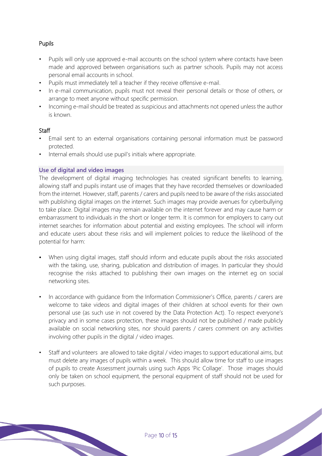## Pupils

- Pupils will only use approved e-mail accounts on the school system where contacts have been made and approved between organisations such as partner schools. Pupils may not access personal email accounts in school.
- Pupils must immediately tell a teacher if they receive offensive e-mail.
- In e-mail communication, pupils must not reveal their personal details or those of others, or arrange to meet anyone without specific permission.
- Incoming e-mail should be treated as suspicious and attachments not opened unless the author is known.

### **Staff**

- Email sent to an external organisations containing personal information must be password protected.
- Internal emails should use pupil's initials where appropriate.

#### **Use of digital and video images**

The development of digital imaging technologies has created significant benefits to learning, allowing staff and pupils instant use of images that they have recorded themselves or downloaded from the internet. However, staff, parents / carers and pupils need to be aware of the risks associated with publishing digital images on the internet. Such images may provide avenues for cyberbullying to take place. Digital images may remain available on the internet forever and may cause harm or embarrassment to individuals in the short or longer term. It is common for employers to carry out internet searches for information about potential and existing employees. The school will inform and educate users about these risks and will implement policies to reduce the likelihood of the potential for harm:

- When using digital images, staff should inform and educate pupils about the risks associated with the taking, use, sharing, publication and distribution of images. In particular they should recognise the risks attached to publishing their own images on the internet eg on social networking sites.
- In accordance with guidance from the Information Commissioner's Office, parents / carers are welcome to take videos and digital images of their children at school events for their own personal use (as such use in not covered by the Data Protection Act). To respect everyone's privacy and in some cases protection, these images should not be published / made publicly available on social networking sites, nor should parents / carers comment on any activities involving other pupils in the digital / video images.
- Staff and volunteers are allowed to take digital / video images to support educational aims, but must delete any images of pupils within a week. This should allow time for staff to use images of pupils to create Assessment journals using such Apps 'Pic Collage'. Those images should only be taken on school equipment, the personal equipment of staff should not be used for such purposes.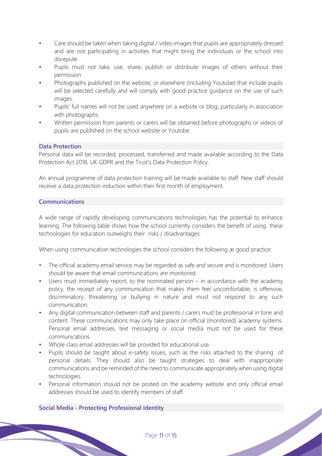- Care should be taken when taking digital / video images that pupils are appropriately dressed and are not participating in activities that might bring the individuals or the school into disrepute.
- Pupils must not take, use, share, publish or distribute images of others without their permission
- Photographs published on the website, or elsewhere (including Youtube) that include pupils will be selected carefully and will comply with good practice guidance on the use of such images.
- Pupils' full names will not be used anywhere on a website or blog, particularly in association with photographs.
- Written permission from parents or carers will be obtained before photographs or videos of pupils are published on the school website or Youtube.

### **Data Protection**

Personal data will be recorded, processed, transferred and made available according to the Data Protection Act 2018, UK GDPR and the Trust's Data Protection Policy.

An annual programme of data protection training will be made available to staff. New staff should receive a data protection induction within their first month of employment.

#### **Communications**

A wide range of rapidly developing communications technologies has the potential to enhance learning. The following table shows how the school currently considers the benefit of using these technologies for education outweighs their risks / disadvantages:

When using communication technologies the school considers the following as good practice:

- The official academy email service may be regarded as safe and secure and is monitored. Users should be aware that email communications are monitored.
- Users must immediately report, to the nominated person in accordance with the academy policy, the receipt of any communication that makes them feel uncomfortable, is offensive, discriminatory, threatening or bullying in nature and must not respond to any such communication.
- Any digital communication between staff and parents / carers must be professional in tone and content. These communications may only take place on official (monitored) academy systems. Personal email addresses, text messaging or social media must not be used for these communications.
- Whole class email addresses will be provided for educational use.
- Pupils should be taught about e-safety issues, such as the risks attached to the sharing of personal details. They should also be taught strategies to deal with inappropriate communications and be reminded of the need to communicate appropriately when using digital technologies.
- Personal information should not be posted on the academy website and only official email addresses should be used to identify members of staff.

## **Social Media - Protecting Professional Identity**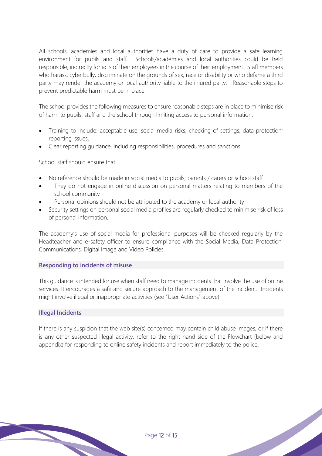All schools, academies and local authorities have a duty of care to provide a safe learning environment for pupils and staff. Schools/academies and local authorities could be held responsible, indirectly for acts of their employees in the course of their employment. Staff members who harass, cyberbully, discriminate on the grounds of sex, race or disability or who defame a third party may render the academy or local authority liable to the injured party. Reasonable steps to prevent predictable harm must be in place.

The school provides the following measures to ensure reasonable steps are in place to minimise risk of harm to pupils, staff and the school through limiting access to personal information:

- Training to include: acceptable use; social media risks; checking of settings; data protection; reporting issues.
- Clear reporting guidance, including responsibilities, procedures and sanctions

School staff should ensure that:

- No reference should be made in social media to pupils, parents / carers or school staff
- They do not engage in online discussion on personal matters relating to members of the school community
- Personal opinions should not be attributed to the academy or local authority
- Security settings on personal social media profiles are regularly checked to minimise risk of loss of personal information.

The academy's use of social media for professional purposes will be checked regularly by the Headteacher and e-safety officer to ensure compliance with the Social Media, Data Protection, Communications, Digital Image and Video Policies.

#### **Responding to incidents of misuse**

This guidance is intended for use when staff need to manage incidents that involve the use of online services. It encourages a safe and secure approach to the management of the incident. Incidents might involve illegal or inappropriate activities (see "User Actions" above).

#### **Illegal Incidents**

If there is any suspicion that the web site(s) concerned may contain child abuse images, or if there is any other suspected illegal activity, refer to the right hand side of the Flowchart (below and appendix) for responding to online safety incidents and report immediately to the police.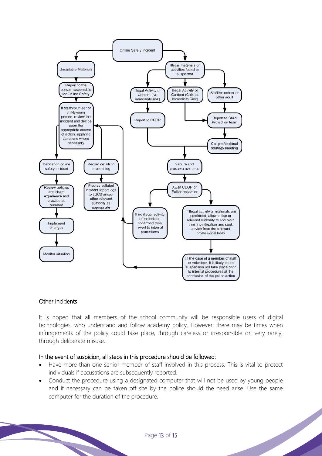

## Other Incidents

It is hoped that all members of the school community will be responsible users of digital technologies, who understand and follow academy policy. However, there may be times when infringements of the policy could take place, through careless or irresponsible or, very rarely, through deliberate misuse.

## In the event of suspicion, all steps in this procedure should be followed:

- Have more than one senior member of staff involved in this process. This is vital to protect individuals if accusations are subsequently reported.
- Conduct the procedure using a designated computer that will not be used by young people and if necessary can be taken off site by the police should the need arise. Use the same computer for the duration of the procedure.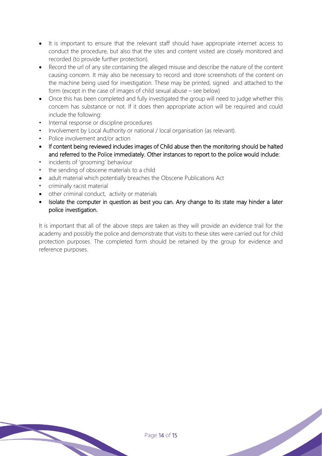- It is important to ensure that the relevant staff should have appropriate internet access to conduct the procedure, but also that the sites and content visited are closely monitored and recorded (to provide further protection).
- Record the url of any site containing the alleged misuse and describe the nature of the content causing concern. It may also be necessary to record and store screenshots of the content on the machine being used for investigation. These may be printed, signed and attached to the form (except in the case of images of child sexual abuse – see below)
- Once this has been completed and fully investigated the group will need to judge whether this concern has substance or not. If it does then appropriate action will be required and could include the following:
- Internal response or discipline procedures
- Involvement by Local Authority or national / local organisation (as relevant).
- Police involvement and/or action
- If content being reviewed includes images of Child abuse then the monitoring should be halted and referred to the Police immediately. Other instances to report to the police would include:
- *•* incidents of 'grooming' behaviour
- *•* the sending of obscene materials to a child
- adult material which potentially breaches the Obscene Publications Act
- *•* criminally racist material
- other criminal conduct, activity or materials
- Isolate the computer in question as best you can. Any change to its state may hinder a later police investigation.

It is important that all of the above steps are taken as they will provide an evidence trail for the academy and possibly the police and demonstrate that visits to these sites were carried out for child protection purposes. The completed form should be retained by the group for evidence and reference purposes.